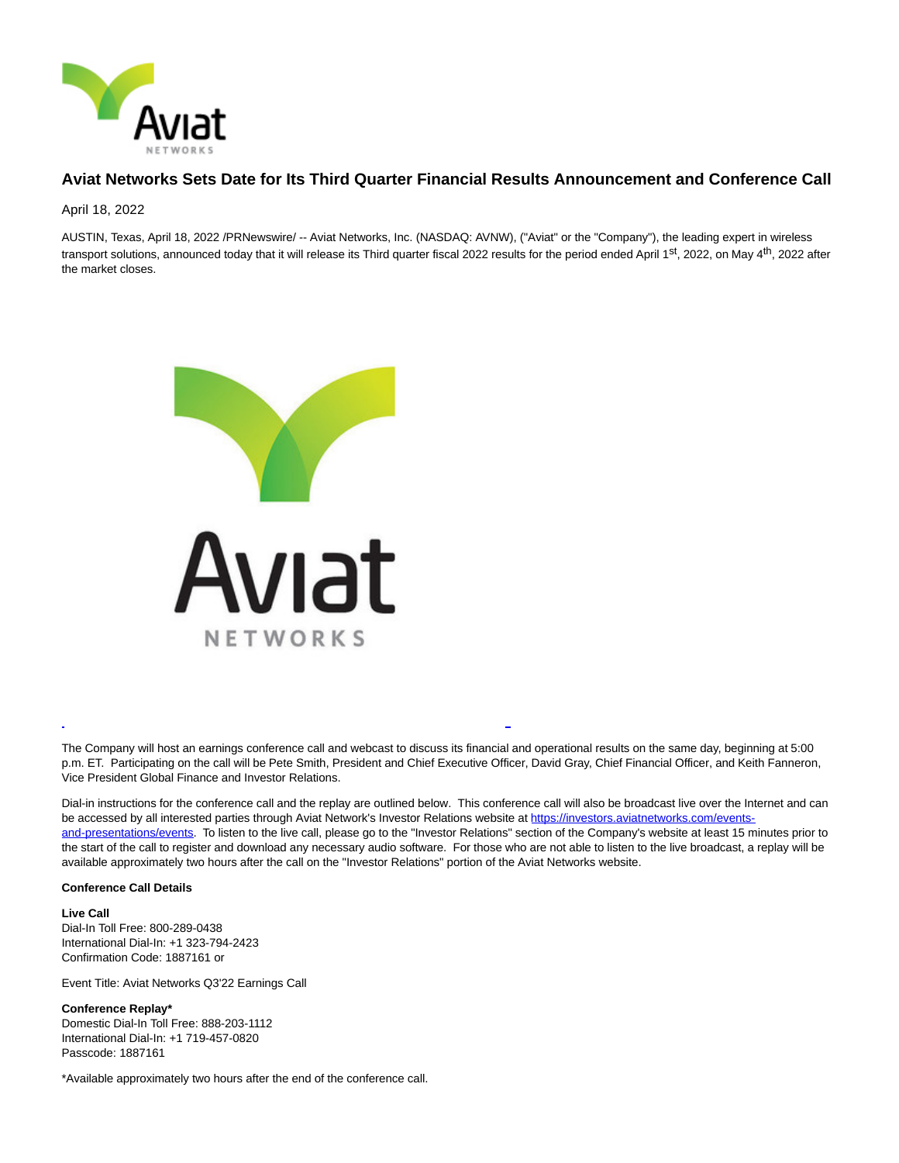

# **Aviat Networks Sets Date for Its Third Quarter Financial Results Announcement and Conference Call**

April 18, 2022

AUSTIN, Texas, April 18, 2022 /PRNewswire/ -- Aviat Networks, Inc. (NASDAQ: AVNW), ("Aviat" or the "Company"), the leading expert in wireless transport solutions, announced today that it will release its Third quarter fiscal 2022 results for the period ended April 1<sup>st</sup>, 2022, on May 4<sup>th</sup>, 2022 after the market closes.



The Company will host an earnings conference call and webcast to discuss its financial and operational results on the same day, beginning at 5:00 p.m. ET. Participating on the call will be Pete Smith, President and Chief Executive Officer, David Gray, Chief Financial Officer, and Keith Fanneron, Vice President Global Finance and Investor Relations.

L

Dial-in instructions for the conference call and the replay are outlined below. This conference call will also be broadcast live over the Internet and can be accessed by all interested parties through Aviat Network's Investor Relations website at [https://investors.aviatnetworks.com/events](https://c212.net/c/link/?t=0&l=en&o=3507736-1&h=1580645923&u=https%3A%2F%2Finvestors.aviatnetworks.com%2Fevents-and-presentations%2Fevents&a=https%3A%2F%2Finvestors.aviatnetworks.com%2Fevents-and-presentations%2Fevents)and-presentations/events. To listen to the live call, please go to the "Investor Relations" section of the Company's website at least 15 minutes prior to the start of the call to register and download any necessary audio software. For those who are not able to listen to the live broadcast, a replay will be available approximately two hours after the call on the "Investor Relations" portion of the Aviat Networks website.

## **Conference Call Details**

#### **Live Call**

Dial-In Toll Free: 800-289-0438 International Dial-In: +1 323-794-2423 Confirmation Code: 1887161 or

Event Title: Aviat Networks Q3'22 Earnings Call

## **Conference Replay\***

Domestic Dial-In Toll Free: 888-203-1112 International Dial-In: +1 719-457-0820 Passcode: 1887161

\*Available approximately two hours after the end of the conference call.